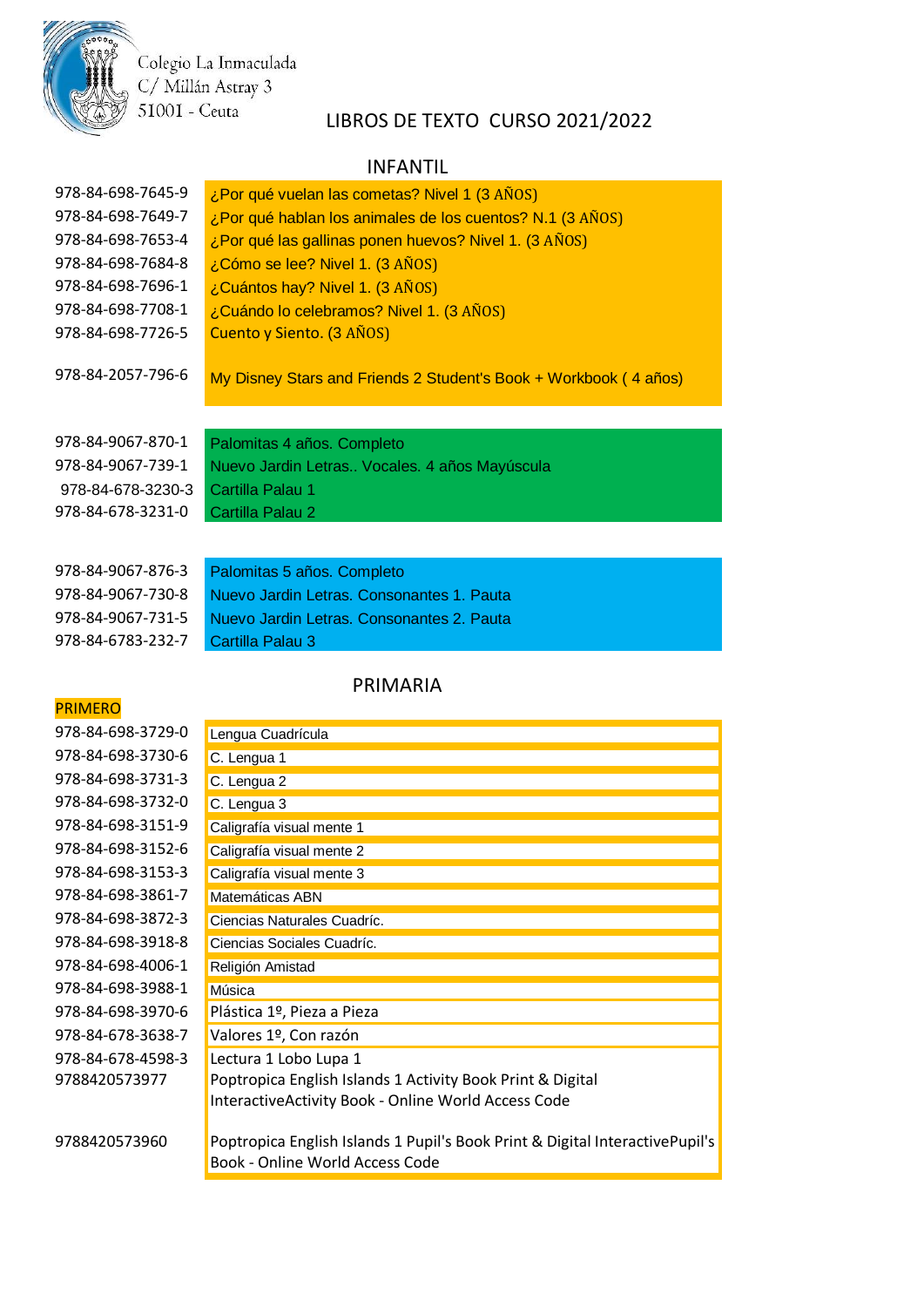Colegio La Inmaculada<br>C/ Millán Astray 3 51001 - Ceuta

# LIBROS DE TEXTO CURSO 2021/2022

#### INFANTIL

| 978-84-698-7645-9 | ¿Por qué vuelan las cometas? Nivel 1 (3 AÑOS)                    |
|-------------------|------------------------------------------------------------------|
| 978-84-698-7649-7 | ¿Por qué hablan los animales de los cuentos? N.1 (3 AÑOS)        |
| 978-84-698-7653-4 | ¿Por qué las gallinas ponen huevos? Nivel 1. (3 AÑOS)            |
| 978-84-698-7684-8 | ¿Cómo se lee? Nivel 1. (3 AÑOS)                                  |
| 978-84-698-7696-1 | ¿Cuántos hay? Nivel 1. (3 AÑOS)                                  |
| 978-84-698-7708-1 | ¿Cuándo lo celebramos? Nivel 1. (3 AÑOS)                         |
| 978-84-698-7726-5 | Cuento y Siento. (3 AÑOS)                                        |
| 978-84-2057-796-6 | My Disney Stars and Friends 2 Student's Book + Workbook (4 años) |
|                   |                                                                  |
| 978-84-9067-870-1 | Palomitas 4 años. Completo                                       |
| 978-84-9067-739-1 | Nuevo Jardin Letras Vocales. 4 años Mayúscula                    |
| 978-84-678-3230-3 | Cartilla Palau 1                                                 |
| 978-84-678-3231-0 | Cartilla Palau 2                                                 |
|                   |                                                                  |
| 978-84-9067-876-3 | Palomitas 5 años. Completo                                       |

978-84-9067-731-5 Nuevo Jardin Letras. Consonantes 2. Pauta

978-84-6783-232-7 Cartilla Palau 3

### PRIMARIA

# PRIMERO

| 978-84-698-3729-0 | Lengua Cuadrícula         |
|-------------------|---------------------------|
| 978-84-698-3730-6 | C. Lengua 1               |
| 978-84-698-3731-3 | C. Lengua 2               |
| 978-84-698-3732-0 | C. Lengua 3               |
| 978-84-698-3151-9 | Caligrafía visual me      |
| 978-84-698-3152-6 | Caligrafía visual me      |
| 978-84-698-3153-3 | Caligrafía visual me      |
| 978-84-698-3861-7 | Matemáticas ABN           |
| 978-84-698-3872-3 | <b>Ciencias Naturales</b> |
| 978-84-698-3918-8 | Ciencias Sociales (       |
| 978-84-698-4006-1 | Religión Amistad          |
| 978-84-698-3988-1 | Música                    |
| 978-84-698-3970-6 | Plástica 1º, Pieza        |
| 978-84-678-3638-7 | Valores 1º, Con r         |
| 978-84-678-4598-3 | Lectura 1 Lobo Lu         |
| 9788420573977     | Poptropica Englis         |
|                   | Intoractivo Activit       |

| 978-84-698-3729-0 | Lengua Cuadrícula                                                                                               |
|-------------------|-----------------------------------------------------------------------------------------------------------------|
| 978-84-698-3730-6 | C. Lengua 1                                                                                                     |
| 978-84-698-3731-3 | C. Lengua 2                                                                                                     |
| 978-84-698-3732-0 | C. Lengua 3                                                                                                     |
| 978-84-698-3151-9 | Caligrafía visual mente 1                                                                                       |
| 978-84-698-3152-6 | Caligrafía visual mente 2                                                                                       |
| 978-84-698-3153-3 | Caligrafía visual mente 3                                                                                       |
| 978-84-698-3861-7 | Matemáticas ABN                                                                                                 |
| 978-84-698-3872-3 | Ciencias Naturales Cuadríc.                                                                                     |
| 978-84-698-3918-8 | Ciencias Sociales Cuadríc.                                                                                      |
| 978-84-698-4006-1 | Religión Amistad                                                                                                |
| 978-84-698-3988-1 | Música                                                                                                          |
| 978-84-698-3970-6 | Plástica 1º, Pieza a Pieza                                                                                      |
| 978-84-678-3638-7 | Valores 1º, Con razón                                                                                           |
| 978-84-678-4598-3 | Lectura 1 Lobo Lupa 1                                                                                           |
| 9788420573977     | Poptropica English Islands 1 Activity Book Print & Digital                                                      |
|                   | InteractiveActivity Book - Online World Access Code                                                             |
| 9788420573960     | Poptropica English Islands 1 Pupil's Book Print & Digital InteractivePupil's<br>Book - Online World Access Code |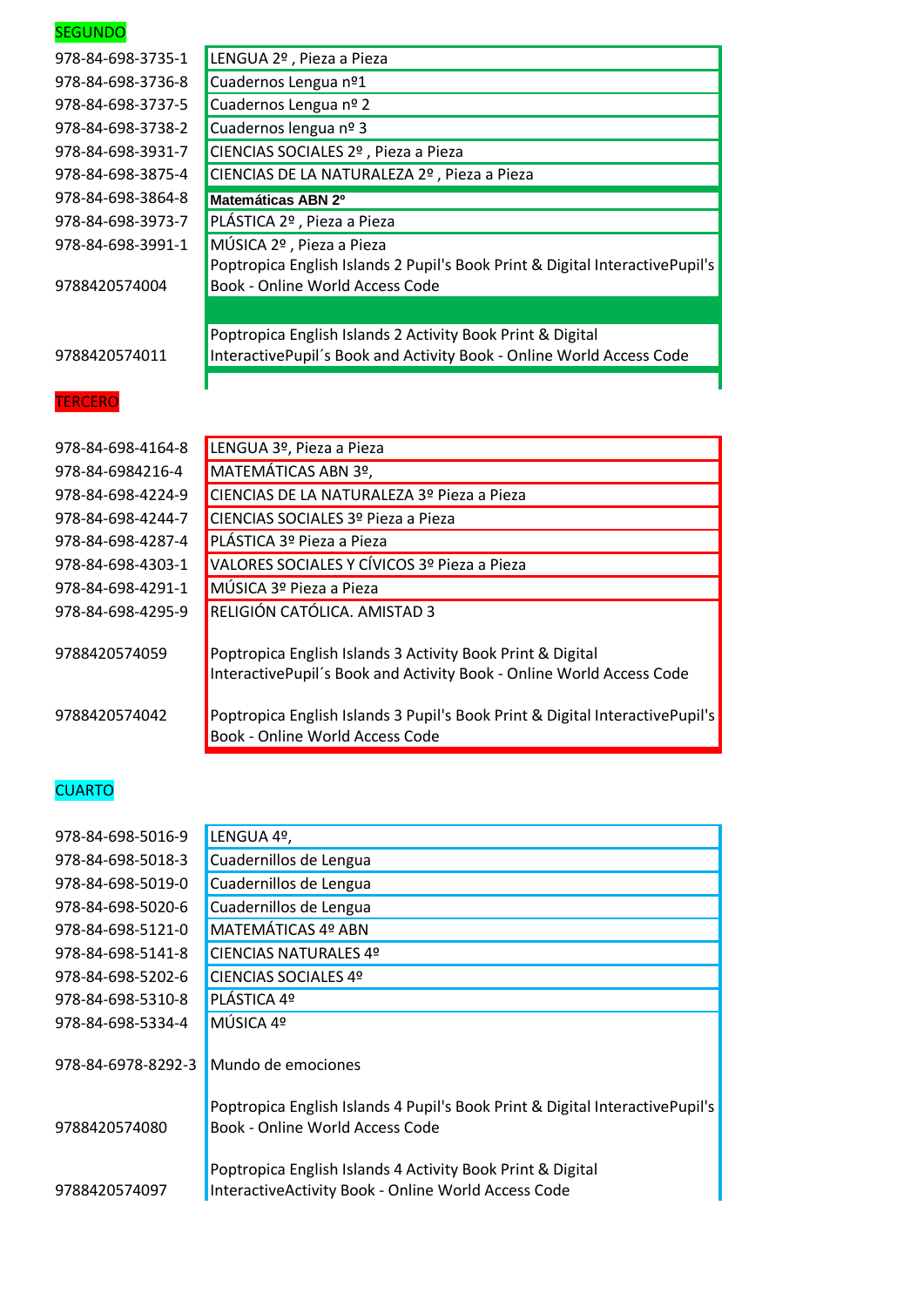| <b>SEGUNDO</b>    |                                                                                                                 |
|-------------------|-----------------------------------------------------------------------------------------------------------------|
| 978-84-698-3735-1 | LENGUA 2º, Pieza a Pieza                                                                                        |
| 978-84-698-3736-8 | Cuadernos Lengua nº1                                                                                            |
| 978-84-698-3737-5 | Cuadernos Lengua nº 2                                                                                           |
| 978-84-698-3738-2 | Cuadernos lengua nº 3                                                                                           |
| 978-84-698-3931-7 | CIENCIAS SOCIALES 2º, Pieza a Pieza                                                                             |
| 978-84-698-3875-4 | CIENCIAS DE LA NATURALEZA 2º, Pieza a Pieza                                                                     |
| 978-84-698-3864-8 | Matemáticas ABN 2º                                                                                              |
| 978-84-698-3973-7 | PLÁSTICA 2º, Pieza a Pieza                                                                                      |
| 978-84-698-3991-1 | MÚSICA 2º, Pieza a Pieza                                                                                        |
| 9788420574004     | Poptropica English Islands 2 Pupil's Book Print & Digital InteractivePupil's<br>Book - Online World Access Code |
|                   |                                                                                                                 |
|                   | Poptropica English Islands 2 Activity Book Print & Digital                                                      |
|                   |                                                                                                                 |
| 9788420574011     | InteractivePupil's Book and Activity Book - Online World Access Code                                            |
| <b>TERCERO</b>    |                                                                                                                 |
| 978-84-698-4164-8 | LENGUA 3º, Pieza a Pieza                                                                                        |
| 978-84-6984216-4  | MATEMÁTICAS ABN 3º,                                                                                             |
| 978-84-698-4224-9 | CIENCIAS DE LA NATURALEZA 3º Pieza a Pieza                                                                      |
| 978-84-698-4244-7 | CIENCIAS SOCIALES 3º Pieza a Pieza                                                                              |
| 978-84-698-4287-4 | PLÁSTICA 3º Pieza a Pieza                                                                                       |
| 978-84-698-4303-1 | VALORES SOCIALES Y CÍVICOS 3º Pieza a Pieza                                                                     |
| 978-84-698-4291-1 | MÚSICA 3º Pieza a Pieza                                                                                         |
| 978-84-698-4295-9 | RELIGIÓN CATÓLICA. AMISTAD 3                                                                                    |
| 9788420574059     | Poptropica English Islands 3 Activity Book Print & Digital                                                      |
|                   | InteractivePupil's Book and Activity Book - Online World Access Code                                            |
| 9788420574042     | Poptropica English Islands 3 Pupil's Book Print & Digital InteractivePupil's                                    |

| 978-84-698-5016-9  | LENGUA 4º,                                                                                                        |
|--------------------|-------------------------------------------------------------------------------------------------------------------|
| 978-84-698-5018-3  | Cuadernillos de Lengua                                                                                            |
| 978-84-698-5019-0  | Cuadernillos de Lengua                                                                                            |
| 978-84-698-5020-6  | Cuadernillos de Lengua                                                                                            |
| 978-84-698-5121-0  | MATEMÁTICAS 4º ABN                                                                                                |
| 978-84-698-5141-8  | CIENCIAS NATURALES 4º                                                                                             |
| 978-84-698-5202-6  | CIENCIAS SOCIALES 4º                                                                                              |
| 978-84-698-5310-8  | PLÁSTICA 4º                                                                                                       |
| 978-84-698-5334-4  | MÚSICA 4º                                                                                                         |
| 978-84-6978-8292-3 | Mundo de emociones                                                                                                |
| 9788420574080      | Poptropica English Islands 4 Pupil's Book Print & Digital InteractivePupil's<br>Book - Online World Access Code   |
| 9788420574097      | Poptropica English Islands 4 Activity Book Print & Digital<br>InteractiveActivity Book - Online World Access Code |